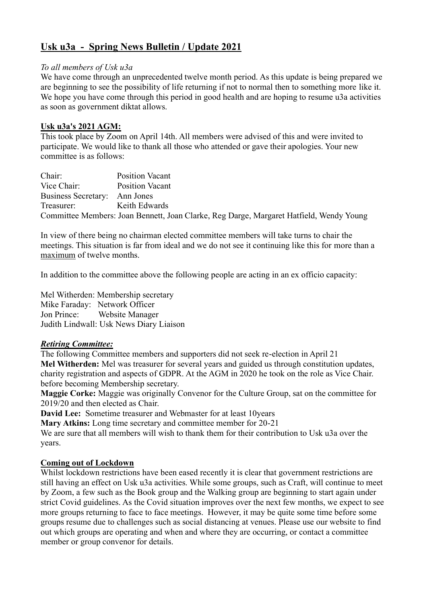# **Usk u3a - Spring News Bulletin / Update 2021**

#### *To all members of Usk u3a*

We have come through an unprecedented twelve month period. As this update is being prepared we are beginning to see the possibility of life returning if not to normal then to something more like it. We hope you have come through this period in good health and are hoping to resume u3a activities as soon as government diktat allows.

### **Usk u3a's 2021 AGM:**

This took place by Zoom on April 14th. All members were advised of this and were invited to participate. We would like to thank all those who attended or gave their apologies. Your new committee is as follows:

Chair: Position Vacant Vice Chair: Position Vacant Business Secretary: Ann Jones Treasurer: Keith Edwards Committee Members: Joan Bennett, Joan Clarke, Reg Darge, Margaret Hatfield, Wendy Young

In view of there being no chairman elected committee members will take turns to chair the meetings. This situation is far from ideal and we do not see it continuing like this for more than a maximum of twelve months.

In addition to the committee above the following people are acting in an ex officio capacity:

Mel Witherden: Membership secretary Mike Faraday: Network Officer Jon Prince: Website Manager Judith Lindwall: Usk News Diary Liaison

#### *Retiring Committee:*

The following Committee members and supporters did not seek re-election in April 21 **Mel Witherden:** Mel was treasurer for several years and guided us through constitution updates, charity registration and aspects of GDPR. At the AGM in 2020 he took on the role as Vice Chair. before becoming Membership secretary.

**Maggie Corke:** Maggie was originally Convenor for the Culture Group, sat on the committee for 2019/20 and then elected as Chair.

**David Lee:** Sometime treasurer and Webmaster for at least 10years

**Mary Atkins:** Long time secretary and committee member for 20-21

We are sure that all members will wish to thank them for their contribution to Usk u3a over the years.

#### **Coming out of Lockdown**

Whilst lockdown restrictions have been eased recently it is clear that government restrictions are still having an effect on Usk u3a activities. While some groups, such as Craft, will continue to meet by Zoom, a few such as the Book group and the Walking group are beginning to start again under strict Covid guidelines. As the Covid situation improves over the next few months, we expect to see more groups returning to face to face meetings. However, it may be quite some time before some groups resume due to challenges such as social distancing at venues. Please use our website to find out which groups are operating and when and where they are occurring, or contact a committee member or group convenor for details.